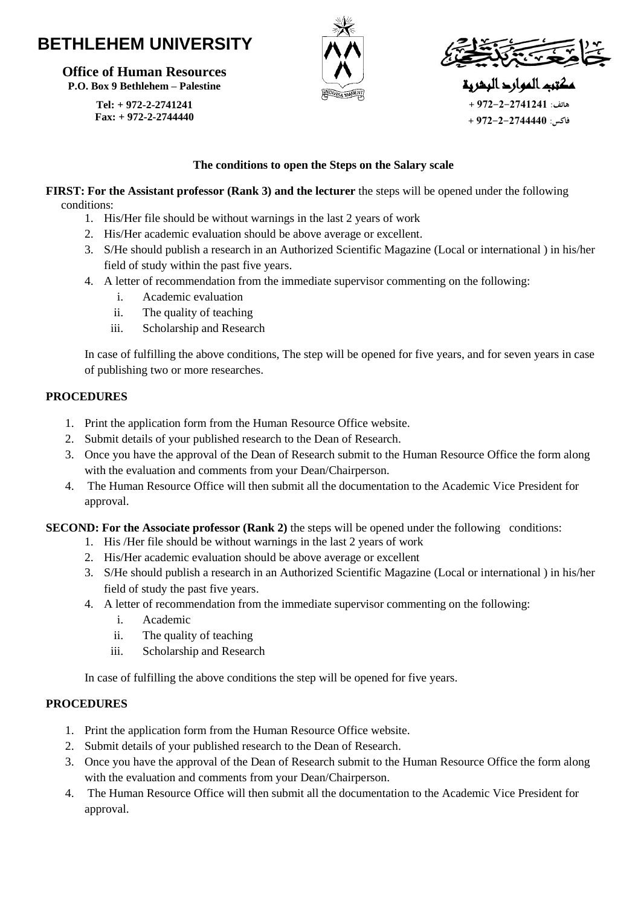# **BETHLEHEM UNIVERSITY**

**Office of Human Resources P.O. Box 9 Bethlehem – Palestine**

> **Tel: + 972-2-2741241 Fax: + 972-2-2744440**





مكتب الموارد البشرية **هاتف: 972-2-2741241 + فاكس: 972-2-2744440 +** 

#### **The conditions to open the Steps on the Salary scale**

**FIRST: For the Assistant professor (Rank 3) and the lecturer** the steps will be opened under the following conditions:

- 1. His/Her file should be without warnings in the last 2 years of work
- 2. His/Her academic evaluation should be above average or excellent.
- 3. S/He should publish a research in an Authorized Scientific Magazine (Local or international ) in his/her field of study within the past five years.
- 4. A letter of recommendation from the immediate supervisor commenting on the following:
	- i. Academic evaluation
	- ii. The quality of teaching
	- iii. Scholarship and Research

In case of fulfilling the above conditions, The step will be opened for five years, and for seven years in case of publishing two or more researches.

#### **PROCEDURES**

- 1. Print the application form from the Human Resource Office website.
- 2. Submit details of your published research to the Dean of Research.
- 3. Once you have the approval of the Dean of Research submit to the Human Resource Office the form along with the evaluation and comments from your Dean/Chairperson.
- 4. The Human Resource Office will then submit all the documentation to the Academic Vice President for approval.

#### **SECOND: For the Associate professor (Rank 2)** the steps will be opened under the following conditions:

- 1. His /Her file should be without warnings in the last 2 years of work
- 2. His/Her academic evaluation should be above average or excellent
- 3. S/He should publish a research in an Authorized Scientific Magazine (Local or international ) in his/her field of study the past five years.
- 4. A letter of recommendation from the immediate supervisor commenting on the following:
	- i. Academic
	- ii. The quality of teaching
	- iii. Scholarship and Research

In case of fulfilling the above conditions the step will be opened for five years.

#### **PROCEDURES**

- 1. Print the application form from the Human Resource Office website.
- 2. Submit details of your published research to the Dean of Research.
- 3. Once you have the approval of the Dean of Research submit to the Human Resource Office the form along with the evaluation and comments from your Dean/Chairperson.
- 4. The Human Resource Office will then submit all the documentation to the Academic Vice President for approval.